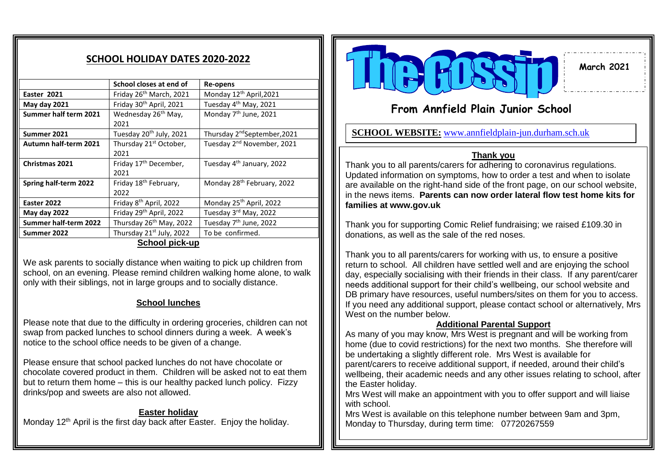# **SCHOOL HOLIDAY DATES 2020-2022**

|                       | School closes at end of             | Re-opens                                 |
|-----------------------|-------------------------------------|------------------------------------------|
| Easter 2021           | Friday 26 <sup>th</sup> March, 2021 | Monday 12 <sup>th</sup> April, 2021      |
| May day 2021          | Friday 30 <sup>th</sup> April, 2021 | Tuesday 4 <sup>th</sup> May, 2021        |
| Summer half term 2021 | Wednesday 26 <sup>th</sup> May,     | Monday 7 <sup>th</sup> June, 2021        |
|                       | 2021                                |                                          |
| Summer 2021           | Tuesday 20 <sup>th</sup> July, 2021 | Thursday 2 <sup>nd</sup> September, 2021 |
| Autumn half-term 2021 | Thursday 21 <sup>st</sup> October,  | Tuesday 2 <sup>nd</sup> November, 2021   |
|                       | 2021                                |                                          |
| <b>Christmas 2021</b> | Friday 17 <sup>th</sup> December,   | Tuesday 4 <sup>th</sup> January, 2022    |
|                       | 2021                                |                                          |
| Spring half-term 2022 | Friday 18 <sup>th</sup> February,   | Monday 28 <sup>th</sup> February, 2022   |
|                       | 2022                                |                                          |
| Easter 2022           | Friday 8 <sup>th</sup> April, 2022  | Monday 25 <sup>th</sup> April, 2022      |
| May day 2022          | Friday 29th April, 2022             | Tuesday 3rd May, 2022                    |
| Summer half-term 2022 | Thursday 26 <sup>th</sup> May, 2022 | Tuesday 7 <sup>th</sup> June, 2022       |
| Summer 2022           | Thursday 21st July, 2022            | To be confirmed.                         |
| <b>School pick-up</b> |                                     |                                          |

We ask parents to socially distance when waiting to pick up children from school, on an evening. Please remind children walking home alone, to walk only with their siblings, not in large groups and to socially distance.

# **School lunches**

Please note that due to the difficulty in ordering groceries, children can not swap from packed lunches to school dinners during a week. A week's notice to the school office needs to be given of a change.

Please ensure that school packed lunches do not have chocolate or chocolate covered product in them. Children will be asked not to eat them but to return them home – this is our healthy packed lunch policy. Fizzy drinks/pop and sweets are also not allowed.

### **Easter holiday** Monday 12<sup>th</sup> April is the first day back after Easter. Enjoy the holiday.



# **From Annfield Plain Junior School**

**SCHOOL WEBSITE:** [www.annfieldplain-jun.durham.sch.uk](http://www.annfieldplain-jun.durham.sch.uk/)

# **Thank you**

Thank you to all parents/carers for adhering to coronavirus regulations. Updated information on symptoms, how to order a test and when to isolate are available on the right-hand side of the front page, on our school website, in the news items. **Parents can now order lateral flow test home kits for families at www.gov.uk**

Thank you for supporting Comic Relief fundraising; we raised £109.30 in donations, as well as the sale of the red noses.

Thank you to all parents/carers for working with us, to ensure a positive return to school. All children have settled well and are enjoying the school day, especially socialising with their friends in their class. If any parent/carer needs additional support for their child's wellbeing, our school website and DB primary have resources, useful numbers/sites on them for you to access. If you need any additional support, please contact school or alternatively, Mrs West on the number below.

# **Additional Parental Support**

As many of you may know, Mrs West is pregnant and will be working from home (due to covid restrictions) for the next two months. She therefore will be undertaking a slightly different role. Mrs West is available for parent/carers to receive additional support, if needed, around their child's wellbeing, their academic needs and any other issues relating to school, after the Easter holiday.

Mrs West will make an appointment with you to offer support and will liaise with school.

Mrs West is available on this telephone number between 9am and 3pm, Monday to Thursday, during term time: 07720267559